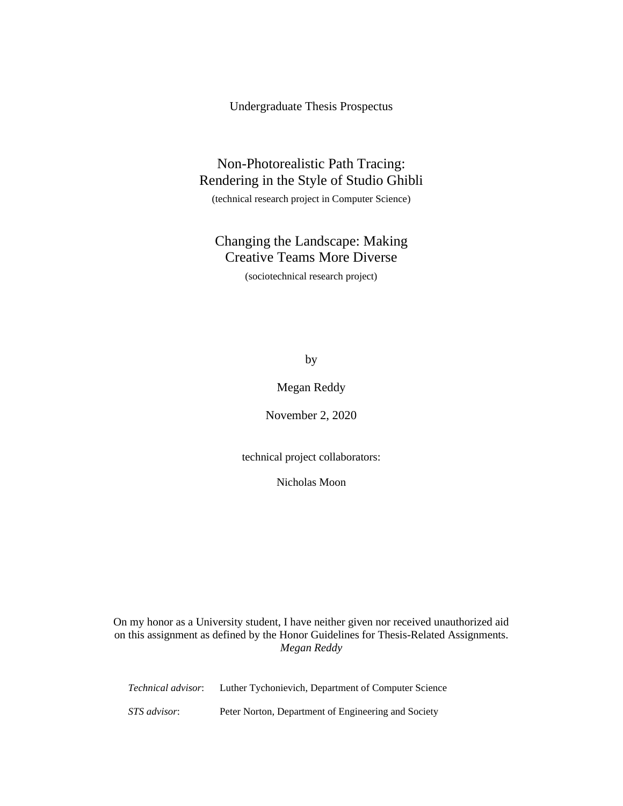Undergraduate Thesis Prospectus

# Non-Photorealistic Path Tracing: Rendering in the Style of Studio Ghibli

(technical research project in Computer Science)

# Changing the Landscape: Making Creative Teams More Diverse

(sociotechnical research project)

by

# Megan Reddy

November 2, 2020

technical project collaborators:

Nicholas Moon

On my honor as a University student, I have neither given nor received unauthorized aid on this assignment as defined by the Honor Guidelines for Thesis-Related Assignments. *Megan Reddy*

| <i>Technical advisor:</i> | Luther Tychonievich, Department of Computer Science |
|---------------------------|-----------------------------------------------------|
| STS advisor:              | Peter Norton, Department of Engineering and Society |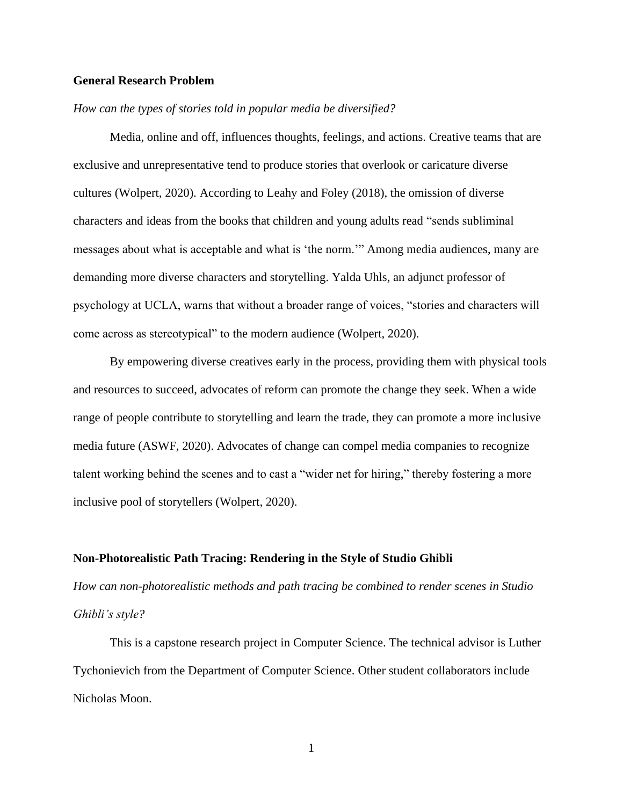# **General Research Problem**

### *How can the types of stories told in popular media be diversified?*

Media, online and off, influences thoughts, feelings, and actions. Creative teams that are exclusive and unrepresentative tend to produce stories that overlook or caricature diverse cultures (Wolpert, 2020). According to Leahy and Foley (2018), the omission of diverse characters and ideas from the books that children and young adults read "sends subliminal messages about what is acceptable and what is 'the norm.'" Among media audiences, many are demanding more diverse characters and storytelling. Yalda Uhls, an adjunct professor of psychology at UCLA, warns that without a broader range of voices, "stories and characters will come across as stereotypical" to the modern audience (Wolpert, 2020).

By empowering diverse creatives early in the process, providing them with physical tools and resources to succeed, advocates of reform can promote the change they seek. When a wide range of people contribute to storytelling and learn the trade, they can promote a more inclusive media future (ASWF, 2020). Advocates of change can compel media companies to recognize talent working behind the scenes and to cast a "wider net for hiring," thereby fostering a more inclusive pool of storytellers (Wolpert, 2020).

#### **Non-Photorealistic Path Tracing: Rendering in the Style of Studio Ghibli**

*How can non-photorealistic methods and path tracing be combined to render scenes in Studio Ghibli's style?*

This is a capstone research project in Computer Science. The technical advisor is Luther Tychonievich from the Department of Computer Science. Other student collaborators include Nicholas Moon.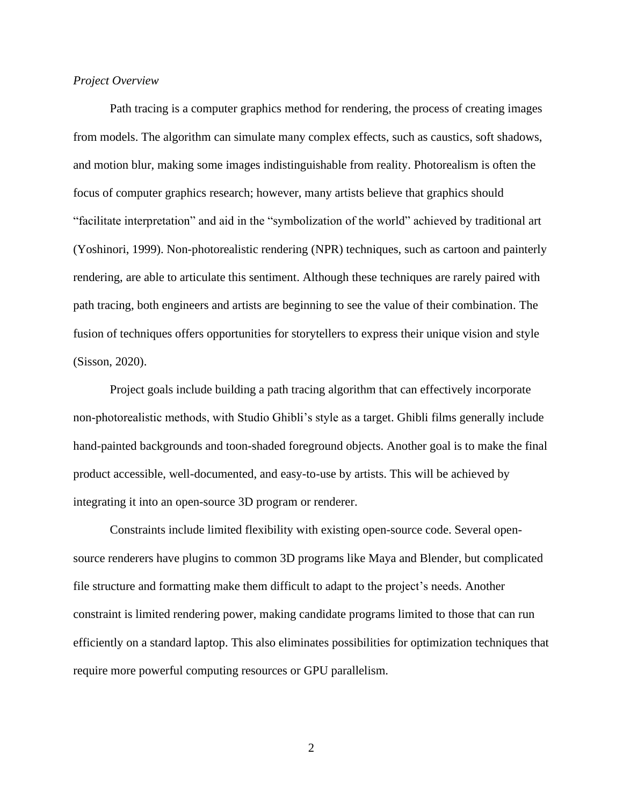# *Project Overview*

Path tracing is a computer graphics method for rendering, the process of creating images from models. The algorithm can simulate many complex effects, such as caustics, soft shadows, and motion blur, making some images indistinguishable from reality. Photorealism is often the focus of computer graphics research; however, many artists believe that graphics should "facilitate interpretation" and aid in the "symbolization of the world" achieved by traditional art (Yoshinori, 1999). Non-photorealistic rendering (NPR) techniques, such as cartoon and painterly rendering, are able to articulate this sentiment. Although these techniques are rarely paired with path tracing, both engineers and artists are beginning to see the value of their combination. The fusion of techniques offers opportunities for storytellers to express their unique vision and style (Sisson, 2020).

Project goals include building a path tracing algorithm that can effectively incorporate non-photorealistic methods, with Studio Ghibli's style as a target. Ghibli films generally include hand-painted backgrounds and toon-shaded foreground objects. Another goal is to make the final product accessible, well-documented, and easy-to-use by artists. This will be achieved by integrating it into an open-source 3D program or renderer.

Constraints include limited flexibility with existing open-source code. Several opensource renderers have plugins to common 3D programs like Maya and Blender, but complicated file structure and formatting make them difficult to adapt to the project's needs. Another constraint is limited rendering power, making candidate programs limited to those that can run efficiently on a standard laptop. This also eliminates possibilities for optimization techniques that require more powerful computing resources or GPU parallelism.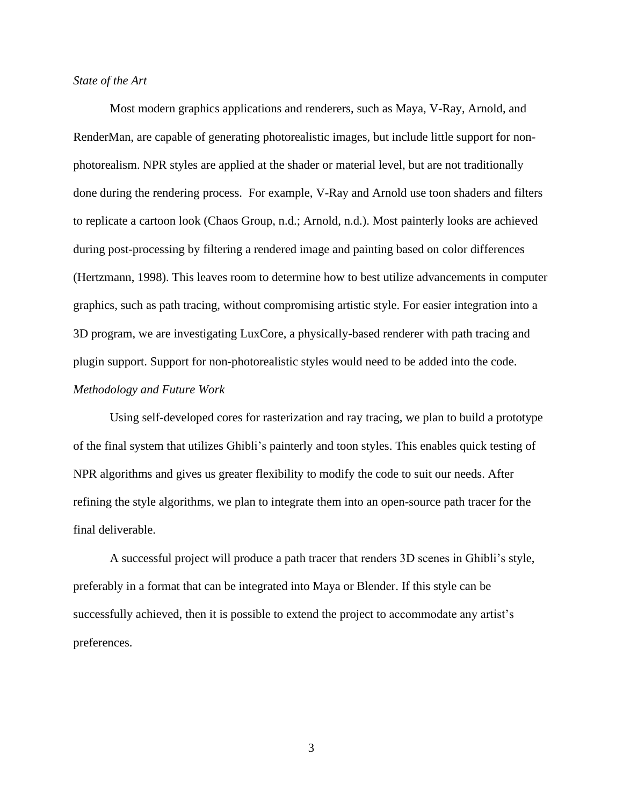# *State of the Art*

Most modern graphics applications and renderers, such as Maya, V-Ray, Arnold, and RenderMan, are capable of generating photorealistic images, but include little support for nonphotorealism. NPR styles are applied at the shader or material level, but are not traditionally done during the rendering process. For example, V-Ray and Arnold use toon shaders and filters to replicate a cartoon look (Chaos Group, n.d.; Arnold, n.d.). Most painterly looks are achieved during post-processing by filtering a rendered image and painting based on color differences (Hertzmann, 1998). This leaves room to determine how to best utilize advancements in computer graphics, such as path tracing, without compromising artistic style. For easier integration into a 3D program, we are investigating LuxCore, a physically-based renderer with path tracing and plugin support. Support for non-photorealistic styles would need to be added into the code. *Methodology and Future Work*

Using self-developed cores for rasterization and ray tracing, we plan to build a prototype of the final system that utilizes Ghibli's painterly and toon styles. This enables quick testing of NPR algorithms and gives us greater flexibility to modify the code to suit our needs. After refining the style algorithms, we plan to integrate them into an open-source path tracer for the final deliverable.

A successful project will produce a path tracer that renders 3D scenes in Ghibli's style, preferably in a format that can be integrated into Maya or Blender. If this style can be successfully achieved, then it is possible to extend the project to accommodate any artist's preferences.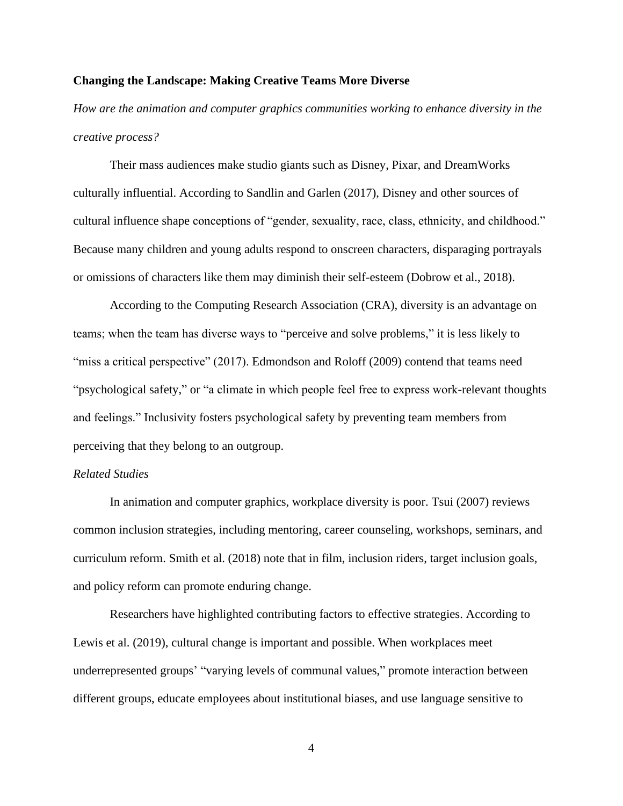# **Changing the Landscape: Making Creative Teams More Diverse**

*How are the animation and computer graphics communities working to enhance diversity in the creative process?*

Their mass audiences make studio giants such as Disney, Pixar, and DreamWorks culturally influential. According to Sandlin and Garlen (2017), Disney and other sources of cultural influence shape conceptions of "gender, sexuality, race, class, ethnicity, and childhood." Because many children and young adults respond to onscreen characters, disparaging portrayals or omissions of characters like them may diminish their self-esteem (Dobrow et al., 2018).

According to the Computing Research Association (CRA), diversity is an advantage on teams; when the team has diverse ways to "perceive and solve problems," it is less likely to "miss a critical perspective" (2017). Edmondson and Roloff (2009) contend that teams need "psychological safety," or "a climate in which people feel free to express work-relevant thoughts and feelings." Inclusivity fosters psychological safety by preventing team members from perceiving that they belong to an outgroup.

### *Related Studies*

In animation and computer graphics, workplace diversity is poor. Tsui (2007) reviews common inclusion strategies, including mentoring, career counseling, workshops, seminars, and curriculum reform. Smith et al. (2018) note that in film, inclusion riders, target inclusion goals, and policy reform can promote enduring change.

Researchers have highlighted contributing factors to effective strategies. According to Lewis et al. (2019), cultural change is important and possible. When workplaces meet underrepresented groups' "varying levels of communal values," promote interaction between different groups, educate employees about institutional biases, and use language sensitive to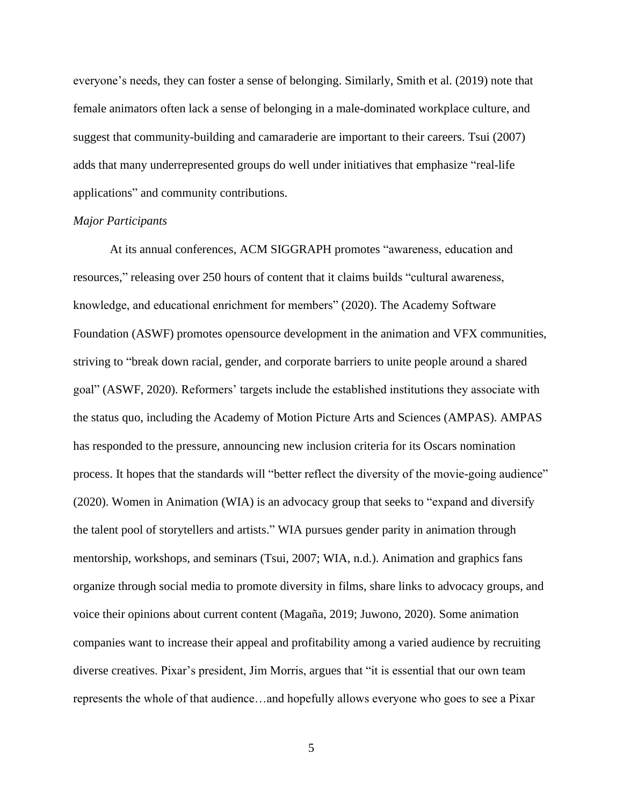everyone's needs, they can foster a sense of belonging. Similarly, Smith et al. (2019) note that female animators often lack a sense of belonging in a male-dominated workplace culture, and suggest that community-building and camaraderie are important to their careers. Tsui (2007) adds that many underrepresented groups do well under initiatives that emphasize "real-life applications" and community contributions.

### *Major Participants*

At its annual conferences, ACM SIGGRAPH promotes "awareness, education and resources," releasing over 250 hours of content that it claims builds "cultural awareness, knowledge, and educational enrichment for members" (2020). The Academy Software Foundation (ASWF) promotes opensource development in the animation and VFX communities, striving to "break down racial, gender, and corporate barriers to unite people around a shared goal" (ASWF, 2020). Reformers' targets include the established institutions they associate with the status quo, including the Academy of Motion Picture Arts and Sciences (AMPAS). AMPAS has responded to the pressure, announcing new inclusion criteria for its Oscars nomination process. It hopes that the standards will "better reflect the diversity of the movie-going audience" (2020). Women in Animation (WIA) is an advocacy group that seeks to "expand and diversify the talent pool of storytellers and artists." WIA pursues gender parity in animation through mentorship, workshops, and seminars (Tsui, 2007; WIA, n.d.). Animation and graphics fans organize through social media to promote diversity in films, share links to advocacy groups, and voice their opinions about current content (Magaña, 2019; Juwono, 2020). Some animation companies want to increase their appeal and profitability among a varied audience by recruiting diverse creatives. Pixar's president, Jim Morris, argues that "it is essential that our own team represents the whole of that audience…and hopefully allows everyone who goes to see a Pixar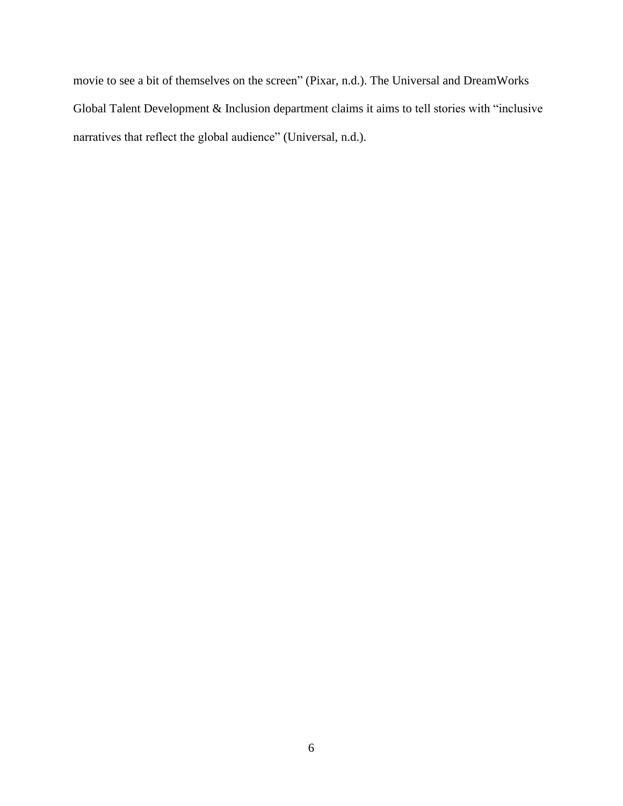movie to see a bit of themselves on the screen" (Pixar, n.d.). The Universal and DreamWorks Global Talent Development & Inclusion department claims it aims to tell stories with "inclusive narratives that reflect the global audience" (Universal, n.d.).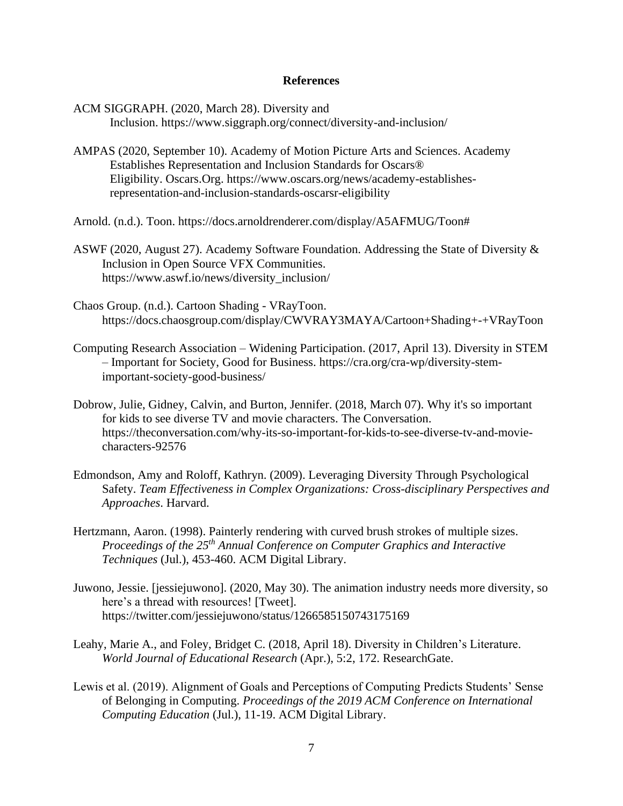#### **References**

ACM SIGGRAPH. (2020, March 28). Diversity and Inclusion. https://www.siggraph.org/connect/diversity-and-inclusion/

- AMPAS (2020, September 10). Academy of Motion Picture Arts and Sciences. Academy Establishes Representation and Inclusion Standards for Oscars® Eligibility. Oscars.Org. https://www.oscars.org/news/academy-establishesrepresentation-and-inclusion-standards-oscarsr-eligibility
- Arnold. (n.d.). Toon. [https://docs.arnoldrenderer.com/display/A5AFMUG/Toon#](https://docs.arnoldrenderer.com/display/A5AFMUG/Toon)
- ASWF (2020, August 27). Academy Software Foundation. Addressing the State of Diversity & Inclusion in Open Source VFX Communities. https://www.aswf.io/news/diversity\_inclusion/
- Chaos Group. (n.d.). Cartoon Shading VRayToon. <https://docs.chaosgroup.com/display/CWVRAY3MAYA/Cartoon+Shading+-+VRayToon>
- Computing Research Association Widening Participation. (2017, April 13). Diversity in STEM – Important for Society, Good for Business. [https://cra.org/cra-wp/diversity-stem](https://cra.org/cra-wp/diversity-stem-important-society-good-business/)[important-society-good-business/](https://cra.org/cra-wp/diversity-stem-important-society-good-business/)
- Dobrow, Julie, Gidney, Calvin, and Burton, Jennifer. (2018, March 07). Why it's so important for kids to see diverse TV and movie characters. The Conversation. [https://theconversation.com/why-its-so-important-for-kids-to-see-diverse-tv-and-movie](https://theconversation.com/why-its-so-important-for-kids-to-see-diverse-tv-and-movie-characters-92576)[characters-92576](https://theconversation.com/why-its-so-important-for-kids-to-see-diverse-tv-and-movie-characters-92576)
- Edmondson, Amy and Roloff, Kathryn. (2009). Leveraging Diversity Through Psychological Safety. *Team Effectiveness in Complex Organizations: Cross-disciplinary Perspectives and Approaches*. Harvard.
- Hertzmann, Aaron. (1998). Painterly rendering with curved brush strokes of multiple sizes. *Proceedings of the 25th Annual Conference on Computer Graphics and Interactive Techniques* (Jul.), 453-460. ACM Digital Library.
- Juwono, Jessie. [jessiejuwono]. (2020, May 30). The animation industry needs more diversity, so here's a thread with resources! [Tweet]. https://twitter.com/jessiejuwono/status/1266585150743175169
- Leahy, Marie A., and Foley, Bridget C. (2018, April 18). Diversity in Children's Literature. *World Journal of Educational Research* (Apr.), 5:2, 172. ResearchGate.
- Lewis et al. (2019). Alignment of Goals and Perceptions of Computing Predicts Students' Sense of Belonging in Computing. *Proceedings of the 2019 ACM Conference on International Computing Education* (Jul.), 11-19. ACM Digital Library.